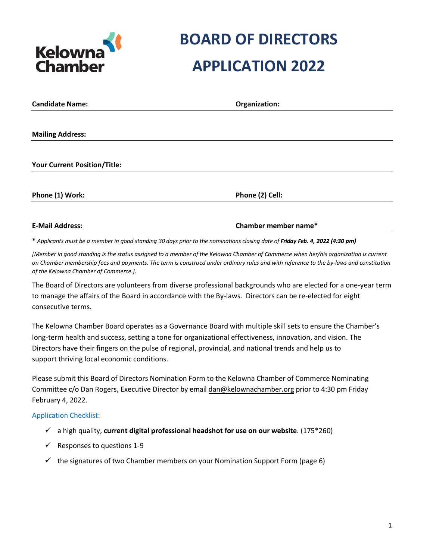

| <b>Candidate Name:</b> | Organization: |
|------------------------|---------------|
|                        |               |

**Mailing Address:** 

**Your Current Position/Title:** 

**Phone (1) Work: Phone (2) Cell:** 

**E-Mail Address: Chamber member name\*** 

\* Applicants must be a member in good standing 30 days prior to the nominations closing date of Friday Feb. 4, 2022 (4:30 pm)

[Member in good standing is the status assigned to a member of the Kelowna Chamber of Commerce when her/his organization is current *on Chamber membership fees and payments. The term is construed under ordinary rules and with reference to the by-laws and constitution of the Kelowna Chamber of Commerce.].*

The Board of Directors are volunteers from diverse professional backgrounds who are elected for a one-year term to manage the affairs of the Board in accordance with the By-laws. Directors can be re-elected for eight consecutive terms.

The Kelowna Chamber Board operates as a Governance Board with multiple skill sets to ensure the Chamber's long-term health and success, setting a tone for organizational effectiveness, innovation, and vision. The Directors have their fingers on the pulse of regional, provincial, and national trends and help us to support thriving local economic conditions.

Please submit this Board of Directors Nomination Form to the Kelowna Chamber of Commerce Nominating Committee c/o Dan Rogers, Executive Director by email [dan@kelownachamber.org](mailto:dan@kelownachamber.org) prior to 4:30 pm Friday February 4, 2022.

#### Application Checklist:

- a high quality, **current digital professional headshot for use on our website**. (175\*260)
- $\checkmark$  Responses to questions 1-9
- $\checkmark$  the signatures of two Chamber members on your Nomination Support Form (page 6)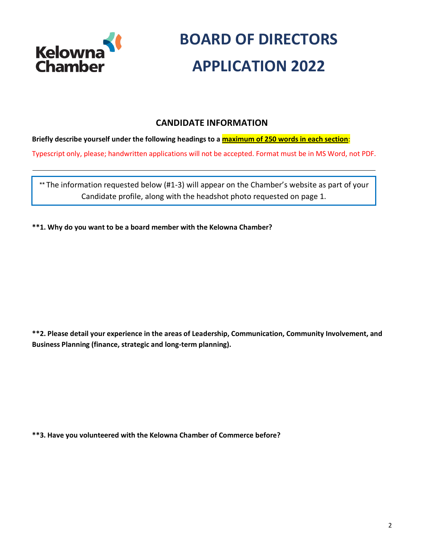

### **CANDIDATE INFORMATION**

### **Briefly describe yourself under the following headings to a maximum of 250 words in each section**:

Typescript only, please; handwritten applications will not be accepted. Format must be in MS Word, not PDF.

*\*\** The information requested below (#1-3) will appear on the Chamber's website as part of your Candidate profile, along with the headshot photo requested on page 1.

**\*\*1. Why do you want to be a board member with the Kelowna Chamber?**

**\*\*2. Please detail your experience in the areas of Leadership, Communication, Community Involvement, and Business Planning (finance, strategic and long-term planning).**

**\*\*3. Have you volunteered with the Kelowna Chamber of Commerce before?**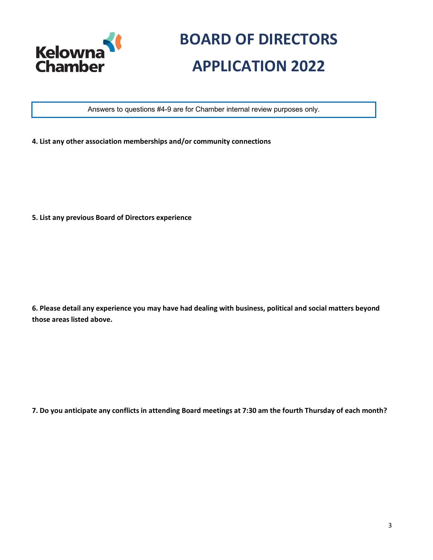

Answers to questions #4-9 are for Chamber internal review purposes only.

**4. List any other association memberships and/or community connections**

**5. List any previous Board of Directors experience**

**6. Please detail any experience you may have had dealing with business, political and social matters beyond those areas listed above.**

**7. Do you anticipate any conflicts in attending Board meetings at 7:30 am the fourth Thursday of each month?**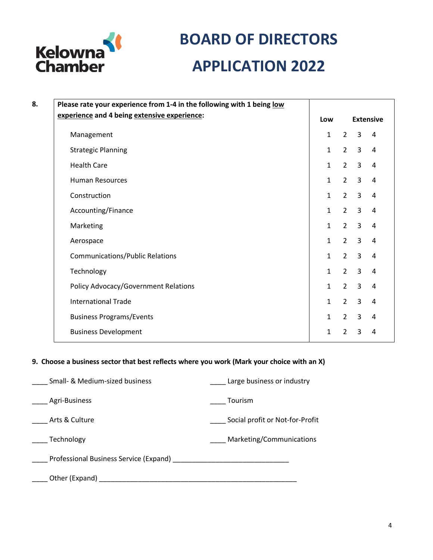

| 8. | Please rate your experience from 1-4 in the following with 1 being low |                         |                |                |                |
|----|------------------------------------------------------------------------|-------------------------|----------------|----------------|----------------|
|    | experience and 4 being extensive experience:                           | <b>Extensive</b><br>Low |                |                |                |
|    | Management                                                             | $\mathbf{1}$            | $\overline{2}$ | $\mathbf{3}$   | 4              |
|    | <b>Strategic Planning</b>                                              | $\mathbf{1}$            | $2^{\circ}$    | $\overline{3}$ | 4              |
|    | <b>Health Care</b>                                                     | $\mathbf{1}$            | $2^{\circ}$    | $\overline{3}$ | $\overline{a}$ |
|    | <b>Human Resources</b>                                                 | $\mathbf{1}$            | $2^{\circ}$    | $\overline{3}$ | 4              |
|    | Construction                                                           | $\mathbf{1}$            | $\overline{2}$ | $\overline{3}$ | $\overline{4}$ |
|    | Accounting/Finance                                                     | $\mathbf{1}$            | $2^{\circ}$    | 3              | 4              |
|    | Marketing                                                              | $\mathbf{1}$            | $2^{\circ}$    | $\overline{3}$ | 4              |
|    | Aerospace                                                              | $\mathbf{1}$            | $2^{\circ}$    | $\overline{3}$ | $\overline{4}$ |
|    | <b>Communications/Public Relations</b>                                 | $\mathbf{1}$            | $2^{\circ}$    | 3              | $\overline{4}$ |
|    | Technology                                                             | $\mathbf{1}$            | $2^{\circ}$    | $\overline{3}$ | $\overline{4}$ |
|    | Policy Advocacy/Government Relations                                   | $\mathbf{1}$            | $2^{\circ}$    | $\overline{3}$ | $\overline{4}$ |
|    | <b>International Trade</b>                                             | $\mathbf{1}$            | $2^{\circ}$    | $\overline{3}$ | 4              |
|    | <b>Business Programs/Events</b>                                        | $\mathbf{1}$            | $2^{\circ}$    | $\overline{3}$ | $\overline{4}$ |
|    | <b>Business Development</b>                                            | 1                       | $\overline{2}$ | $\overline{3}$ | 4              |

### **9. Choose a business sector that best reflects where you work (Mark your choice with an X)**

| Small- & Medium-sized business                                                                                                                                                                                                 | Large business or industry      |
|--------------------------------------------------------------------------------------------------------------------------------------------------------------------------------------------------------------------------------|---------------------------------|
| Agri-Business                                                                                                                                                                                                                  | Tourism                         |
| Arts & Culture                                                                                                                                                                                                                 | Social profit or Not-for-Profit |
| Technology                                                                                                                                                                                                                     | Marketing/Communications        |
| Professional Business Service (Expand) [19] The Contract of the Contract of the Contract of the Contract of the Contract of the Contract of the Contract of the Contract of the Contract of the Contract of the Contract of th |                                 |
| Other (Expand)                                                                                                                                                                                                                 |                                 |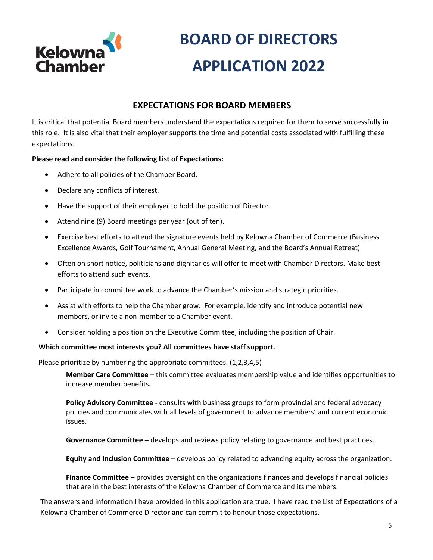

### **EXPECTATIONS FOR BOARD MEMBERS**

It is critical that potential Board members understand the expectations required for them to serve successfully in this role. It is also vital that their employer supports the time and potential costs associated with fulfilling these expectations.

### **Please read and consider the following List of Expectations:**

- Adhere to all policies of the Chamber Board.
- Declare any conflicts of interest.
- Have the support of their employer to hold the position of Director.
- Attend nine (9) Board meetings per year (out of ten).
- Exercise best efforts to attend the signature events held by Kelowna Chamber of Commerce (Business Excellence Awards, Golf Tournament, Annual General Meeting, and the Board's Annual Retreat)
- Often on short notice, politicians and dignitaries will offer to meet with Chamber Directors. Make best efforts to attend such events.
- Participate in committee work to advance the Chamber's mission and strategic priorities.
- Assist with efforts to help the Chamber grow. For example, identify and introduce potential new members, or invite a non-member to a Chamber event.
- Consider holding a position on the Executive Committee, including the position of Chair.

#### **Which committee most interests you? All committees have staff support.**

Please prioritize by numbering the appropriate committees. (1,2,3,4,5)

**Member Care Committee** – this committee evaluates membership value and identifies opportunities to increase member benefits**.**

**Policy Advisory Committee** - consults with business groups to form provincial and federal advocacy policies and communicates with all levels of government to advance members' and current economic issues.

**Governance Committee** – develops and reviews policy relating to governance and best practices.

**Equity and Inclusion Committee** – develops policy related to advancing equity across the organization.

**Finance Committee** – provides oversight on the organizations finances and develops financial policies that are in the best interests of the Kelowna Chamber of Commerce and its members.

The answers and information I have provided in this application are true. I have read the List of Expectations of a Kelowna Chamber of Commerce Director and can commit to honour those expectations.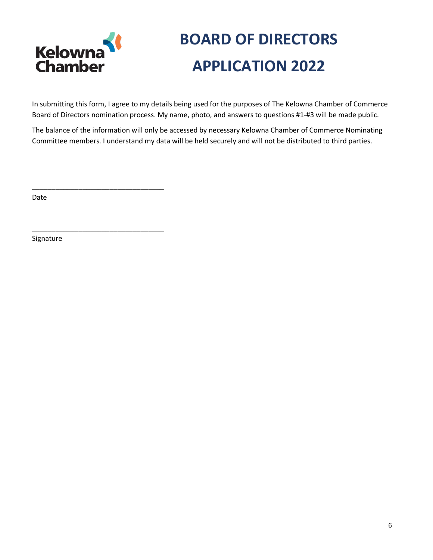

\_\_\_\_\_\_\_\_\_\_\_\_\_\_\_\_\_\_\_\_\_\_\_\_\_\_\_\_\_\_\_\_\_\_

\_\_\_\_\_\_\_\_\_\_\_\_\_\_\_\_\_\_\_\_\_\_\_\_\_\_\_\_\_\_\_\_\_\_

# **BOARD OF DIRECTORS APPLICATION 2022**

In submitting this form, I agree to my details being used for the purposes of The Kelowna Chamber of Commerce Board of Directors nomination process. My name, photo, and answers to questions #1-#3 will be made public.

The balance of the information will only be accessed by necessary Kelowna Chamber of Commerce Nominating Committee members. I understand my data will be held securely and will not be distributed to third parties.

Date

Signature